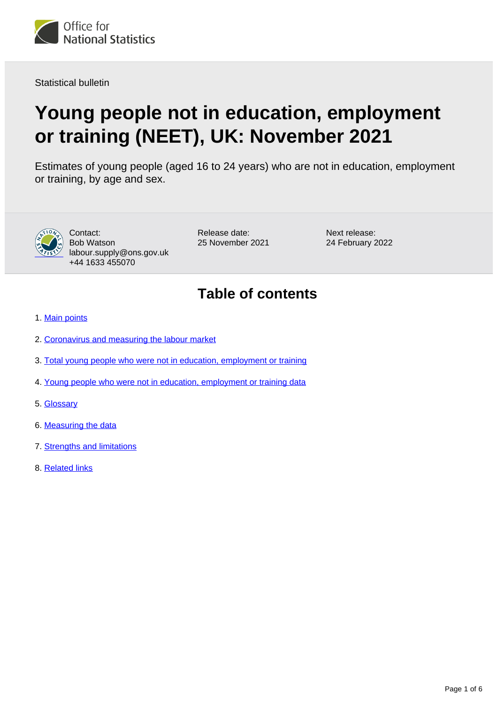

Statistical bulletin

# **Young people not in education, employment or training (NEET), UK: November 2021**

Estimates of young people (aged 16 to 24 years) who are not in education, employment or training, by age and sex.



Contact: Bob Watson labour.supply@ons.gov.uk +44 1633 455070

Release date: 25 November 2021 Next release: 24 February 2022

## **Table of contents**

- 1. [Main points](#page-1-0)
- 2. [Coronavirus and measuring the labour market](#page-1-1)
- 3. [Total young people who were not in education, employment or training](#page-2-0)
- 4. [Young people who were not in education, employment or training data](#page-3-0)
- 5. [Glossary](#page-3-1)
- 6. [Measuring the data](#page-4-0)
- 7. [Strengths and limitations](#page-5-0)
- 8. [Related links](#page-5-1)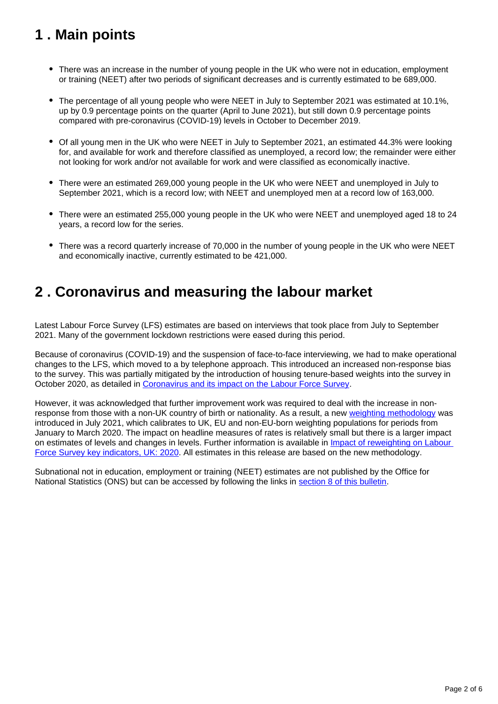## <span id="page-1-0"></span>**1 . Main points**

- There was an increase in the number of young people in the UK who were not in education, employment or training (NEET) after two periods of significant decreases and is currently estimated to be 689,000.
- The percentage of all young people who were NEET in July to September 2021 was estimated at 10.1%, up by 0.9 percentage points on the quarter (April to June 2021), but still down 0.9 percentage points compared with pre-coronavirus (COVID-19) levels in October to December 2019.
- Of all young men in the UK who were NEET in July to September 2021, an estimated 44.3% were looking for, and available for work and therefore classified as unemployed, a record low; the remainder were either not looking for work and/or not available for work and were classified as economically inactive.
- There were an estimated 269,000 young people in the UK who were NEET and unemployed in July to September 2021, which is a record low; with NEET and unemployed men at a record low of 163,000.
- There were an estimated 255,000 young people in the UK who were NEET and unemployed aged 18 to 24 years, a record low for the series.
- There was a record quarterly increase of 70,000 in the number of young people in the UK who were NEET and economically inactive, currently estimated to be 421,000.

### <span id="page-1-1"></span>**2 . Coronavirus and measuring the labour market**

Latest Labour Force Survey (LFS) estimates are based on interviews that took place from July to September 2021. Many of the government lockdown restrictions were eased during this period.

Because of coronavirus (COVID-19) and the suspension of face-to-face interviewing, we had to make operational changes to the LFS, which moved to a by telephone approach. This introduced an increased non-response bias to the survey. This was partially mitigated by the introduction of housing tenure-based weights into the survey in October 2020, as detailed in [Coronavirus and its impact on the Labour Force Survey.](https://www.ons.gov.uk/employmentandlabourmarket/peopleinwork/employmentandemployeetypes/articles/coronavirusanditsimpactonthelabourforcesurvey/2020-10-13)

However, it was acknowledged that further improvement work was required to deal with the increase in nonresponse from those with a non-UK country of birth or nationality. As a result, a new [weighting methodology](https://www.ons.gov.uk/employmentandlabourmarket/peopleinwork/employmentandemployeetypes/methodologies/labourforcesurveyweightingmethodology) was introduced in July 2021, which calibrates to UK, EU and non-EU-born weighting populations for periods from January to March 2020. The impact on headline measures of rates is relatively small but there is a larger impact on estimates of levels and changes in levels. Further information is available in *Impact of reweighting on Labour* [Force Survey key indicators, UK: 2020.](https://www.ons.gov.uk/employmentandlabourmarket/peopleinwork/employmentandemployeetypes/articles/impactofreweightingonlabourforcesurveykeyindicatorsuk/2020) All estimates in this release are based on the new methodology.

Subnational not in education, employment or training (NEET) estimates are not published by the Office for National Statistics (ONS) but can be accessed by following the links in [section 8 of this bulletin](https://www.ons.gov.uk/employmentandlabourmarket/peoplenotinwork/unemployment/bulletins/youngpeoplenotineducationemploymentortrainingneet/november2021#related-links).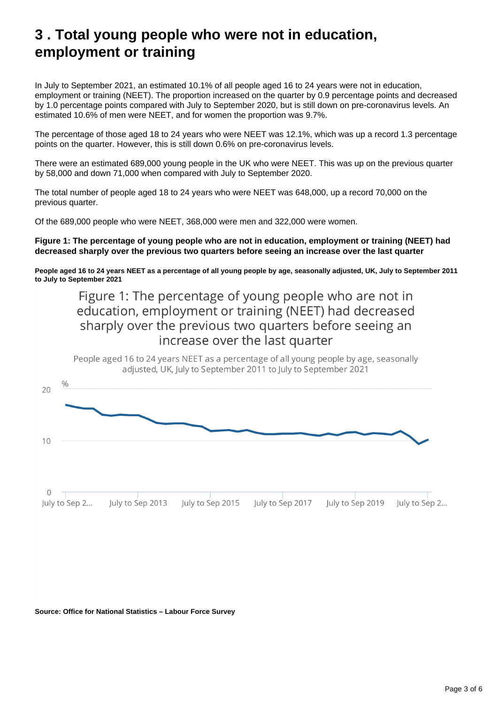## <span id="page-2-0"></span>**3 . Total young people who were not in education, employment or training**

In July to September 2021, an estimated 10.1% of all people aged 16 to 24 years were not in education, employment or training (NEET). The proportion increased on the quarter by 0.9 percentage points and decreased by 1.0 percentage points compared with July to September 2020, but is still down on pre-coronavirus levels. An estimated 10.6% of men were NEET, and for women the proportion was 9.7%.

The percentage of those aged 18 to 24 years who were NEET was 12.1%, which was up a record 1.3 percentage points on the quarter. However, this is still down 0.6% on pre-coronavirus levels.

There were an estimated 689,000 young people in the UK who were NEET. This was up on the previous quarter by 58,000 and down 71,000 when compared with July to September 2020.

The total number of people aged 18 to 24 years who were NEET was 648,000, up a record 70,000 on the previous quarter.

Of the 689,000 people who were NEET, 368,000 were men and 322,000 were women.

#### **Figure 1: The percentage of young people who are not in education, employment or training (NEET) had decreased sharply over the previous two quarters before seeing an increase over the last quarter**

**People aged 16 to 24 years NEET as a percentage of all young people by age, seasonally adjusted, UK, July to September 2011 to July to September 2021**

### Figure 1: The percentage of young people who are not in education, employment or training (NEET) had decreased sharply over the previous two quarters before seeing an increase over the last quarter



#### **Source: Office for National Statistics – Labour Force Survey**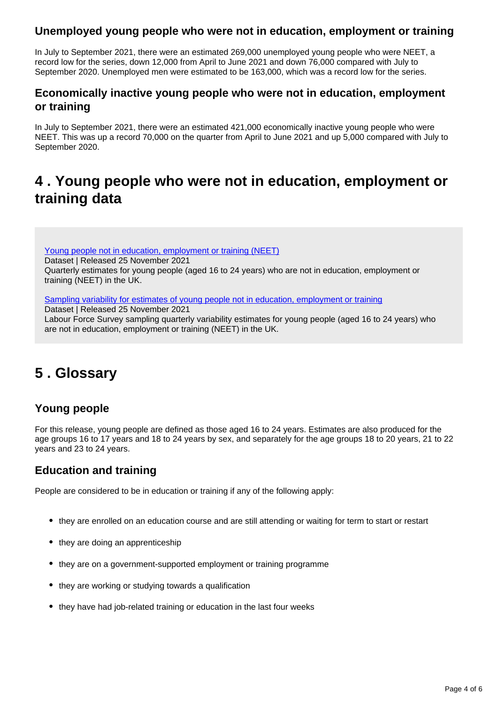### **Unemployed young people who were not in education, employment or training**

In July to September 2021, there were an estimated 269,000 unemployed young people who were NEET, a record low for the series, down 12,000 from April to June 2021 and down 76,000 compared with July to September 2020. Unemployed men were estimated to be 163,000, which was a record low for the series.

#### **Economically inactive young people who were not in education, employment or training**

In July to September 2021, there were an estimated 421,000 economically inactive young people who were NEET. This was up a record 70,000 on the quarter from April to June 2021 and up 5,000 compared with July to September 2020.

### <span id="page-3-0"></span>**4 . Young people who were not in education, employment or training data**

[Young people not in education, employment or training \(NEET\)](https://www.ons.gov.uk/employmentandlabourmarket/peoplenotinwork/unemployment/datasets/youngpeoplenotineducationemploymentortrainingneettable1) Dataset | Released 25 November 2021 Quarterly estimates for young people (aged 16 to 24 years) who are not in education, employment or training (NEET) in the UK.

[Sampling variability for estimates of young people not in education, employment or training](https://www.ons.gov.uk/employmentandlabourmarket/peoplenotinwork/unemployment/datasets/youngpeoplenotineducationemploymentortrainingneettable2samplingvariabilities)

Dataset | Released 25 November 2021

Labour Force Survey sampling quarterly variability estimates for young people (aged 16 to 24 years) who are not in education, employment or training (NEET) in the UK.

## <span id="page-3-1"></span>**5 . Glossary**

### **Young people**

For this release, young people are defined as those aged 16 to 24 years. Estimates are also produced for the age groups 16 to 17 years and 18 to 24 years by sex, and separately for the age groups 18 to 20 years, 21 to 22 years and 23 to 24 years.

### **Education and training**

People are considered to be in education or training if any of the following apply:

- they are enrolled on an education course and are still attending or waiting for term to start or restart
- they are doing an apprenticeship
- they are on a government-supported employment or training programme
- they are working or studying towards a qualification
- they have had job-related training or education in the last four weeks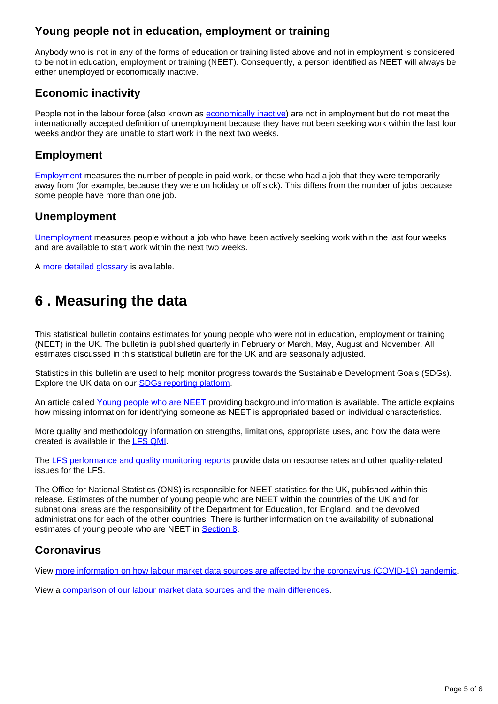### **Young people not in education, employment or training**

Anybody who is not in any of the forms of education or training listed above and not in employment is considered to be not in education, employment or training (NEET). Consequently, a person identified as NEET will always be either unemployed or economically inactive.

### **Economic inactivity**

People not in the labour force (also known as **economically inactive**) are not in employment but do not meet the internationally accepted definition of unemployment because they have not been seeking work within the last four weeks and/or they are unable to start work in the next two weeks.

#### **Employment**

[Employment](https://www.ons.gov.uk/employmentandlabourmarket/peopleinwork/employmentandemployeetypes/methodologies/aguidetolabourmarketstatistics#employment) [m](https://www.ons.gov.uk/employmentandlabourmarket/peopleinwork/employmentandemployeetypes/methodologies/aguidetolabourmarketstatistics#employment)easures the number of people in paid work, or those who had a job that they were temporarily away from (for example, because they were on holiday or off sick). This differs from the number of jobs because some people have more than one job.

### **Unemployment**

[Unemployment](https://www.ons.gov.uk/employmentandlabourmarket/peopleinwork/employmentandemployeetypes/methodologies/aguidetolabourmarketstatistics#unemployment) [m](https://www.ons.gov.uk/employmentandlabourmarket/peopleinwork/employmentandemployeetypes/methodologies/aguidetolabourmarketstatistics#unemployment)easures people without a job who have been actively seeking work within the last four weeks and are available to start work within the next two weeks.

A [more detailed glossary](https://www.ons.gov.uk/employmentandlabourmarket/peopleinwork/employmentandemployeetypes/methodologies/aguidetolabourmarketstatistics#glossary) [i](https://www.ons.gov.uk/employmentandlabourmarket/peopleinwork/employmentandemployeetypes/methodologies/aguidetolabourmarketstatistics#glossary)s available.

## <span id="page-4-0"></span>**6 . Measuring the data**

This statistical bulletin contains estimates for young people who were not in education, employment or training (NEET) in the UK. The bulletin is published quarterly in February or March, May, August and November. All estimates discussed in this statistical bulletin are for the UK and are seasonally adjusted.

Statistics in this bulletin are used to help monitor progress towards the Sustainable Development Goals (SDGs). Explore the UK data on our [SDGs reporting platform](https://sustainabledevelopment-uk.github.io/).

An article called [Young people who are NEET](http://webarchive.nationalarchives.gov.uk/20160204094749/http:/ons.gov.uk/ons/guide-method/method-quality/specific/labour-market/articles-and-reports/young-people-who-are-neet.pdf) providing background information is available. The article explains how missing information for identifying someone as NEET is appropriated based on individual characteristics.

More quality and methodology information on strengths, limitations, appropriate uses, and how the data were created is available in the [LFS QMI.](https://www.ons.gov.uk/employmentandlabourmarket/peopleinwork/employmentandemployeetypes/methodologies/labourforcesurveylfsqmi)

The [LFS performance and quality monitoring reports](https://www.ons.gov.uk/employmentandlabourmarket/peopleinwork/employmentandemployeetypes/methodologies/labourforcesurveyperformanceandqualitymonitoringreports) provide data on response rates and other quality-related issues for the LFS.

The Office for National Statistics (ONS) is responsible for NEET statistics for the UK, published within this release. Estimates of the number of young people who are NEET within the countries of the UK and for subnational areas are the responsibility of the Department for Education, for England, and the devolved administrations for each of the other countries. There is further information on the availability of subnational estimates of young people who are NEET in [Section 8.](https://www.ons.gov.uk/employmentandlabourmarket/peoplenotinwork/unemployment/bulletins/youngpeoplenotineducationemploymentortrainingneet/november2021#related-links)

### **Coronavirus**

View [more information on how labour market data sources are affected by the coronavirus \(COVID-19\) pandemic](https://www.ons.gov.uk/employmentandlabourmarket/peopleinwork/employmentandemployeetypes/articles/coronavirusandtheeffectsonuklabourmarketstatistics/2020-05-06).

View a [comparison of our labour market data sources and the main differences.](https://www.ons.gov.uk/employmentandlabourmarket/peopleinwork/employmentandemployeetypes/methodologies/comparisonoflabourmarketdatasources)